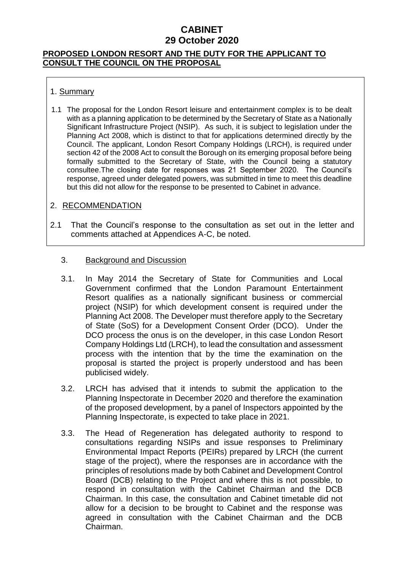### **PROPOSED LONDON RESORT AND THE DUTY FOR THE APPLICANT TO CONSULT THE COUNCIL ON THE PROPOSAL**

### 1. Summary

1.1 The proposal for the London Resort leisure and entertainment complex is to be dealt with as a planning application to be determined by the Secretary of State as a Nationally Significant Infrastructure Project (NSIP). As such, it is subject to legislation under the Planning Act 2008, which is distinct to that for applications determined directly by the Council. The applicant, London Resort Company Holdings (LRCH), is required under section 42 of the 2008 Act to consult the Borough on its emerging proposal before being formally submitted to the Secretary of State, with the Council being a statutory consultee.The closing date for responses was 21 September 2020. The Council's response, agreed under delegated powers, was submitted in time to meet this deadline but this did not allow for the response to be presented to Cabinet in advance.

#### 2. RECOMMENDATION

2.1 That the Council's response to the consultation as set out in the letter and comments attached at Appendices A-C, be noted.

#### 3. Background and Discussion

- 3.1. In May 2014 the Secretary of State for Communities and Local Government confirmed that the London Paramount Entertainment Resort qualifies as a nationally significant business or commercial project (NSIP) for which development consent is required under the Planning Act 2008. The Developer must therefore apply to the Secretary of State (SoS) for a Development Consent Order (DCO). Under the DCO process the onus is on the developer, in this case London Resort Company Holdings Ltd (LRCH), to lead the consultation and assessment process with the intention that by the time the examination on the proposal is started the project is properly understood and has been publicised widely.
- 3.2. LRCH has advised that it intends to submit the application to the Planning Inspectorate in December 2020 and therefore the examination of the proposed development, by a panel of Inspectors appointed by the Planning Inspectorate, is expected to take place in 2021.
- 3.3. The Head of Regeneration has delegated authority to respond to consultations regarding NSIPs and issue responses to Preliminary Environmental Impact Reports (PEIRs) prepared by LRCH (the current stage of the project), where the responses are in accordance with the principles of resolutions made by both Cabinet and Development Control Board (DCB) relating to the Project and where this is not possible, to respond in consultation with the Cabinet Chairman and the DCB Chairman. In this case, the consultation and Cabinet timetable did not allow for a decision to be brought to Cabinet and the response was agreed in consultation with the Cabinet Chairman and the DCB Chairman.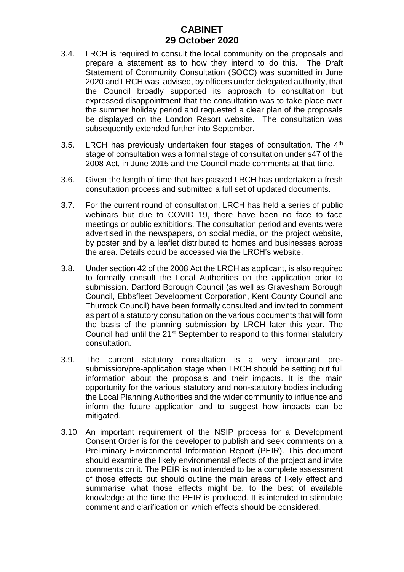- 3.4. LRCH is required to consult the local community on the proposals and prepare a statement as to how they intend to do this. The Draft Statement of Community Consultation (SOCC) was submitted in June 2020 and LRCH was advised, by officers under delegated authority, that the Council broadly supported its approach to consultation but expressed disappointment that the consultation was to take place over the summer holiday period and requested a clear plan of the proposals be displayed on the London Resort website. The consultation was subsequently extended further into September.
- 3.5. LRCH has previously undertaken four stages of consultation. The 4<sup>th</sup> stage of consultation was a formal stage of consultation under s47 of the 2008 Act, in June 2015 and the Council made comments at that time.
- 3.6. Given the length of time that has passed LRCH has undertaken a fresh consultation process and submitted a full set of updated documents.
- 3.7. For the current round of consultation, LRCH has held a series of public webinars but due to COVID 19, there have been no face to face meetings or public exhibitions. The consultation period and events were advertised in the newspapers, on social media, on the project website, by poster and by a leaflet distributed to homes and businesses across the area. Details could be accessed via the LRCH's website.
- 3.8. Under section 42 of the 2008 Act the LRCH as applicant, is also required to formally consult the Local Authorities on the application prior to submission. Dartford Borough Council (as well as Gravesham Borough Council, Ebbsfleet Development Corporation, Kent County Council and Thurrock Council) have been formally consulted and invited to comment as part of a statutory consultation on the various documents that will form the basis of the planning submission by LRCH later this year. The Council had until the 21<sup>st</sup> September to respond to this formal statutory consultation.
- 3.9. The current statutory consultation is a very important presubmission/pre-application stage when LRCH should be setting out full information about the proposals and their impacts. It is the main opportunity for the various statutory and non-statutory bodies including the Local Planning Authorities and the wider community to influence and inform the future application and to suggest how impacts can be mitigated.
- 3.10. An important requirement of the NSIP process for a Development Consent Order is for the developer to publish and seek comments on a Preliminary Environmental Information Report (PEIR). This document should examine the likely environmental effects of the project and invite comments on it. The PEIR is not intended to be a complete assessment of those effects but should outline the main areas of likely effect and summarise what those effects might be, to the best of available knowledge at the time the PEIR is produced. It is intended to stimulate comment and clarification on which effects should be considered.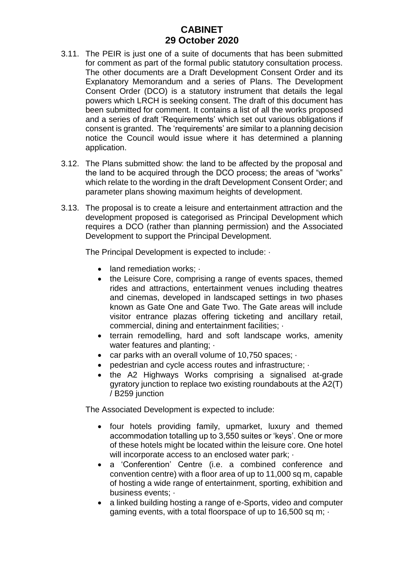- 3.11. The PEIR is just one of a suite of documents that has been submitted for comment as part of the formal public statutory consultation process. The other documents are a Draft Development Consent Order and its Explanatory Memorandum and a series of Plans. The Development Consent Order (DCO) is a statutory instrument that details the legal powers which LRCH is seeking consent. The draft of this document has been submitted for comment. It contains a list of all the works proposed and a series of draft 'Requirements' which set out various obligations if consent is granted. The 'requirements' are similar to a planning decision notice the Council would issue where it has determined a planning application.
- 3.12. The Plans submitted show: the land to be affected by the proposal and the land to be acquired through the DCO process; the areas of "works" which relate to the wording in the draft Development Consent Order; and parameter plans showing maximum heights of development.
- 3.13. The proposal is to create a leisure and entertainment attraction and the development proposed is categorised as Principal Development which requires a DCO (rather than planning permission) and the Associated Development to support the Principal Development.

The Principal Development is expected to include: ·

- land remediation works;
- the Leisure Core, comprising a range of events spaces, themed rides and attractions, entertainment venues including theatres and cinemas, developed in landscaped settings in two phases known as Gate One and Gate Two. The Gate areas will include visitor entrance plazas offering ticketing and ancillary retail, commercial, dining and entertainment facilities; ·
- terrain remodelling, hard and soft landscape works, amenity water features and planting;  $\cdot$
- car parks with an overall volume of 10,750 spaces:  $\cdot$
- pedestrian and cycle access routes and infrastructure; ·
- the A2 Highways Works comprising a signalised at-grade gyratory junction to replace two existing roundabouts at the A2(T) / B259 junction

The Associated Development is expected to include:

- four hotels providing family, upmarket, luxury and themed accommodation totalling up to 3,550 suites or 'keys'. One or more of these hotels might be located within the leisure core. One hotel will incorporate access to an enclosed water park;  $\cdot$
- a 'Conferention' Centre (i.e. a combined conference and convention centre) with a floor area of up to 11,000 sq m, capable of hosting a wide range of entertainment, sporting, exhibition and business events; ·
- a linked building hosting a range of e-Sports, video and computer gaming events, with a total floorspace of up to 16,500 sq m;  $\cdot$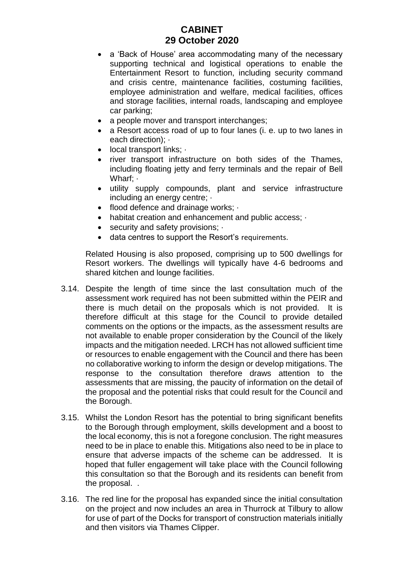- a 'Back of House' area accommodating many of the necessary supporting technical and logistical operations to enable the Entertainment Resort to function, including security command and crisis centre, maintenance facilities, costuming facilities, employee administration and welfare, medical facilities, offices and storage facilities, internal roads, landscaping and employee car parking;
- a people mover and transport interchanges;
- a Resort access road of up to four lanes (i. e. up to two lanes in each direction);
- local transport links:  $\cdot$
- river transport infrastructure on both sides of the Thames, including floating jetty and ferry terminals and the repair of Bell Wharf; ·
- utility supply compounds, plant and service infrastructure including an energy centre; ·
- flood defence and drainage works;  $\cdot$
- habitat creation and enhancement and public access;  $\cdot$
- security and safety provisions;  $\cdot$
- data centres to support the Resort's requirements.

Related Housing is also proposed, comprising up to 500 dwellings for Resort workers. The dwellings will typically have 4-6 bedrooms and shared kitchen and lounge facilities.

- 3.14. Despite the length of time since the last consultation much of the assessment work required has not been submitted within the PEIR and there is much detail on the proposals which is not provided. It is therefore difficult at this stage for the Council to provide detailed comments on the options or the impacts, as the assessment results are not available to enable proper consideration by the Council of the likely impacts and the mitigation needed. LRCH has not allowed sufficient time or resources to enable engagement with the Council and there has been no collaborative working to inform the design or develop mitigations. The response to the consultation therefore draws attention to the assessments that are missing, the paucity of information on the detail of the proposal and the potential risks that could result for the Council and the Borough.
- 3.15. Whilst the London Resort has the potential to bring significant benefits to the Borough through employment, skills development and a boost to the local economy, this is not a foregone conclusion. The right measures need to be in place to enable this. Mitigations also need to be in place to ensure that adverse impacts of the scheme can be addressed. It is hoped that fuller engagement will take place with the Council following this consultation so that the Borough and its residents can benefit from the proposal. .
- 3.16. The red line for the proposal has expanded since the initial consultation on the project and now includes an area in Thurrock at Tilbury to allow for use of part of the Docks for transport of construction materials initially and then visitors via Thames Clipper.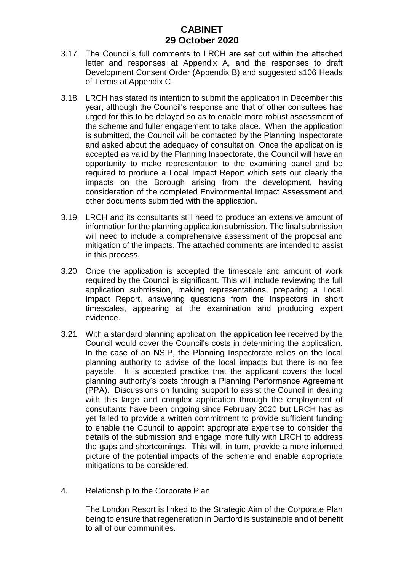- 3.17. The Council's full comments to LRCH are set out within the attached letter and responses at Appendix A, and the responses to draft Development Consent Order (Appendix B) and suggested s106 Heads of Terms at Appendix C.
- 3.18. LRCH has stated its intention to submit the application in December this year, although the Council's response and that of other consultees has urged for this to be delayed so as to enable more robust assessment of the scheme and fuller engagement to take place. When the application is submitted, the Council will be contacted by the Planning Inspectorate and asked about the adequacy of consultation. Once the application is accepted as valid by the Planning Inspectorate, the Council will have an opportunity to make representation to the examining panel and be required to produce a Local Impact Report which sets out clearly the impacts on the Borough arising from the development, having consideration of the completed Environmental Impact Assessment and other documents submitted with the application.
- 3.19. LRCH and its consultants still need to produce an extensive amount of information for the planning application submission. The final submission will need to include a comprehensive assessment of the proposal and mitigation of the impacts. The attached comments are intended to assist in this process.
- 3.20. Once the application is accepted the timescale and amount of work required by the Council is significant. This will include reviewing the full application submission, making representations, preparing a Local Impact Report, answering questions from the Inspectors in short timescales, appearing at the examination and producing expert evidence.
- 3.21. With a standard planning application, the application fee received by the Council would cover the Council's costs in determining the application. In the case of an NSIP, the Planning Inspectorate relies on the local planning authority to advise of the local impacts but there is no fee payable. It is accepted practice that the applicant covers the local planning authority's costs through a Planning Performance Agreement (PPA). Discussions on funding support to assist the Council in dealing with this large and complex application through the employment of consultants have been ongoing since February 2020 but LRCH has as yet failed to provide a written commitment to provide sufficient funding to enable the Council to appoint appropriate expertise to consider the details of the submission and engage more fully with LRCH to address the gaps and shortcomings. This will, in turn, provide a more informed picture of the potential impacts of the scheme and enable appropriate mitigations to be considered.

#### 4. Relationship to the Corporate Plan

The London Resort is linked to the Strategic Aim of the Corporate Plan being to ensure that regeneration in Dartford is sustainable and of benefit to all of our communities.